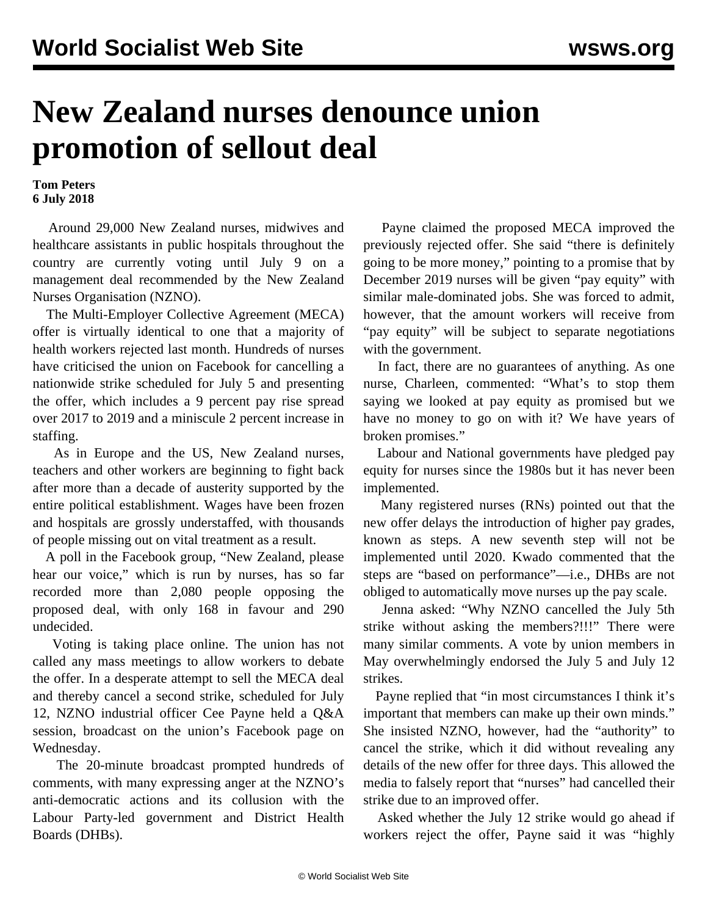## **New Zealand nurses denounce union promotion of sellout deal**

## **Tom Peters 6 July 2018**

 Around 29,000 New Zealand nurses, midwives and healthcare assistants in public hospitals throughout the country are currently voting until July 9 on a management deal recommended by the New Zealand Nurses Organisation (NZNO).

 The Multi-Employer Collective Agreement (MECA) offer is virtually identical to one that a majority of health workers rejected last month. Hundreds of nurses have criticised the union on Facebook for cancelling a nationwide strike scheduled for July 5 and presenting the offer, which includes a 9 percent pay rise spread over 2017 to 2019 and a miniscule 2 percent increase in staffing.

 As in Europe and the US, New Zealand nurses, teachers and other workers are beginning to fight back after more than a decade of austerity supported by the entire political establishment. Wages have been frozen and hospitals are grossly understaffed, with thousands of people missing out on vital treatment as a result.

 A poll in the Facebook group, "New Zealand, please hear our voice," which is run by nurses, has so far recorded more than 2,080 people opposing the proposed deal, with only 168 in favour and 290 undecided.

 Voting is taking place online. The union has not called any mass meetings to allow workers to debate the offer. In a desperate attempt to sell the MECA deal and thereby cancel a second strike, scheduled for July 12, NZNO industrial officer Cee Payne held a Q&A session, broadcast on the union's Facebook page on Wednesday.

 The 20-minute broadcast prompted hundreds of comments, with many expressing anger at the NZNO's anti-democratic actions and its collusion with the Labour Party-led government and District Health Boards (DHBs).

 Payne claimed the proposed MECA improved the previously rejected offer. She said "there is definitely going to be more money," pointing to a promise that by December 2019 nurses will be given "pay equity" with similar male-dominated jobs. She was forced to admit, however, that the amount workers will receive from "pay equity" will be subject to separate negotiations with the government.

 In fact, there are no guarantees of anything. As one nurse, Charleen, commented: "What's to stop them saying we looked at pay equity as promised but we have no money to go on with it? We have years of broken promises."

 Labour and National governments have pledged pay equity for nurses since the 1980s but it has never been implemented.

 Many registered nurses (RNs) pointed out that the new offer delays the introduction of higher pay grades, known as steps. A new seventh step will not be implemented until 2020. Kwado commented that the steps are "based on performance"—i.e., DHBs are not obliged to automatically move nurses up the pay scale.

 Jenna asked: "Why NZNO cancelled the July 5th strike without asking the members?!!!" There were many similar comments. A vote by union members in May overwhelmingly endorsed the July 5 and July 12 strikes.

 Payne replied that "in most circumstances I think it's important that members can make up their own minds." She insisted NZNO, however, had the "authority" to cancel the strike, which it did without revealing any details of the new offer for three days. This allowed the media to falsely report that "nurses" had cancelled their strike due to an improved offer.

 Asked whether the July 12 strike would go ahead if workers reject the offer, Payne said it was "highly